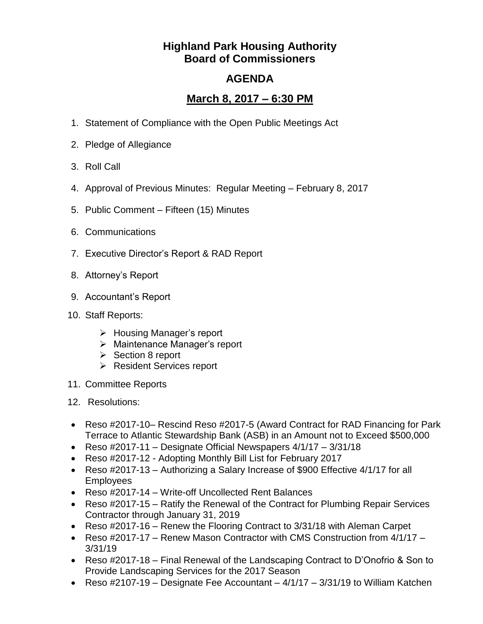## **Highland Park Housing Authority Board of Commissioners**

## **AGENDA**

## **March 8, 2017 – 6:30 PM**

- 1. Statement of Compliance with the Open Public Meetings Act
- 2. Pledge of Allegiance
- 3. Roll Call
- 4. Approval of Previous Minutes: Regular Meeting February 8, 2017
- 5. Public Comment Fifteen (15) Minutes
- 6. Communications
- 7. Executive Director's Report & RAD Report
- 8. Attorney's Report
- 9. Accountant's Report
- 10. Staff Reports:
	- > Housing Manager's report
	- > Maintenance Manager's report
	- $\triangleright$  Section 8 report
	- **EXEC** Resident Services report
- 11. Committee Reports
- 12. Resolutions:
- Reso #2017-10– Rescind Reso #2017-5 (Award Contract for RAD Financing for Park Terrace to Atlantic Stewardship Bank (ASB) in an Amount not to Exceed \$500,000
- Reso  $\#2017-11$  Designate Official Newspapers  $4/1/17 3/31/18$
- Reso #2017-12 Adopting Monthly Bill List for February 2017
- Reso #2017-13 Authorizing a Salary Increase of \$900 Effective 4/1/17 for all Employees
- Reso #2017-14 Write-off Uncollected Rent Balances
- Reso #2017-15 Ratify the Renewal of the Contract for Plumbing Repair Services Contractor through January 31, 2019
- Reso #2017-16 Renew the Flooring Contract to 3/31/18 with Aleman Carpet
- Reso #2017-17 Renew Mason Contractor with CMS Construction from 4/1/17 3/31/19
- Reso #2017-18 Final Renewal of the Landscaping Contract to D'Onofrio & Son to Provide Landscaping Services for the 2017 Season
- Reso  $\#2107-19$  Designate Fee Accountant  $4/1/17$   $3/31/19$  to William Katchen